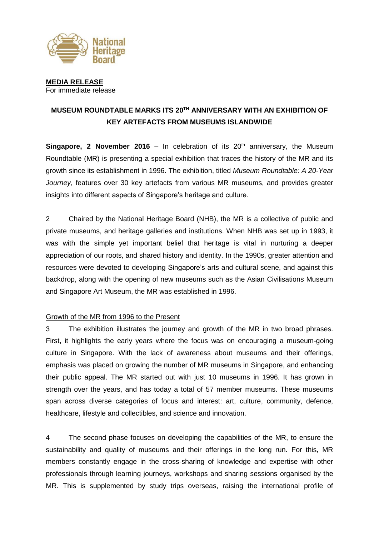

**MEDIA RELEASE** For immediate release

# **MUSEUM ROUNDTABLE MARKS ITS 20TH ANNIVERSARY WITH AN EXHIBITION OF KEY ARTEFACTS FROM MUSEUMS ISLANDWIDE**

**Singapore, 2 November 2016** – In celebration of its 20<sup>th</sup> anniversary, the Museum Roundtable (MR) is presenting a special exhibition that traces the history of the MR and its growth since its establishment in 1996. The exhibition, titled *Museum Roundtable: A 20-Year Journey*, features over 30 key artefacts from various MR museums, and provides greater insights into different aspects of Singapore's heritage and culture.

2 Chaired by the National Heritage Board (NHB), the MR is a collective of public and private museums, and heritage galleries and institutions. When NHB was set up in 1993, it was with the simple yet important belief that heritage is vital in nurturing a deeper appreciation of our roots, and shared history and identity. In the 1990s, greater attention and resources were devoted to developing Singapore's arts and cultural scene, and against this backdrop, along with the opening of new museums such as the Asian Civilisations Museum and Singapore Art Museum, the MR was established in 1996.

#### Growth of the MR from 1996 to the Present

3 The exhibition illustrates the journey and growth of the MR in two broad phrases. First, it highlights the early years where the focus was on encouraging a museum-going culture in Singapore. With the lack of awareness about museums and their offerings, emphasis was placed on growing the number of MR museums in Singapore, and enhancing their public appeal. The MR started out with just 10 museums in 1996. It has grown in strength over the years, and has today a total of 57 member museums. These museums span across diverse categories of focus and interest: art, culture, community, defence, healthcare, lifestyle and collectibles, and science and innovation.

4 The second phase focuses on developing the capabilities of the MR, to ensure the sustainability and quality of museums and their offerings in the long run. For this, MR members constantly engage in the cross-sharing of knowledge and expertise with other professionals through learning journeys, workshops and sharing sessions organised by the MR. This is supplemented by study trips overseas, raising the international profile of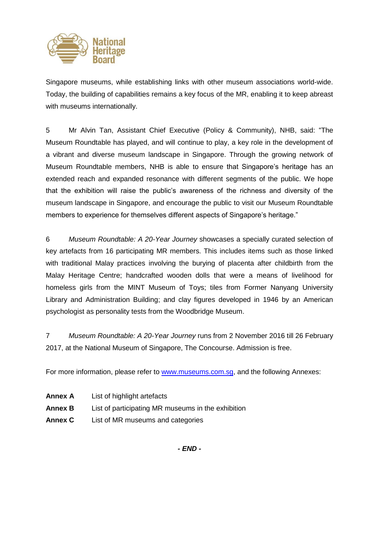

Singapore museums, while establishing links with other museum associations world-wide. Today, the building of capabilities remains a key focus of the MR, enabling it to keep abreast with museums internationally.

5 Mr Alvin Tan, Assistant Chief Executive (Policy & Community), NHB, said: "The Museum Roundtable has played, and will continue to play, a key role in the development of a vibrant and diverse museum landscape in Singapore. Through the growing network of Museum Roundtable members, NHB is able to ensure that Singapore's heritage has an extended reach and expanded resonance with different segments of the public. We hope that the exhibition will raise the public's awareness of the richness and diversity of the museum landscape in Singapore, and encourage the public to visit our Museum Roundtable members to experience for themselves different aspects of Singapore's heritage."

6 *Museum Roundtable: A 20-Year Journey* showcases a specially curated selection of key artefacts from 16 participating MR members. This includes items such as those linked with traditional Malay practices involving the burying of placenta after childbirth from the Malay Heritage Centre; handcrafted wooden dolls that were a means of livelihood for homeless girls from the MINT Museum of Toys; tiles from Former Nanyang University Library and Administration Building; and clay figures developed in 1946 by an American psychologist as personality tests from the Woodbridge Museum.

7 *Museum Roundtable: A 20-Year Journey* runs from 2 November 2016 till 26 February 2017, at the National Museum of Singapore, The Concourse. Admission is free.

For more information, please refer to [www.museums.com.sg,](http://www.museums.com.sg/) and the following Annexes:

- **Annex A** List of highlight artefacts
- **Annex B** List of participating MR museums in the exhibition
- **Annex C** List of MR museums and categories

*- END -*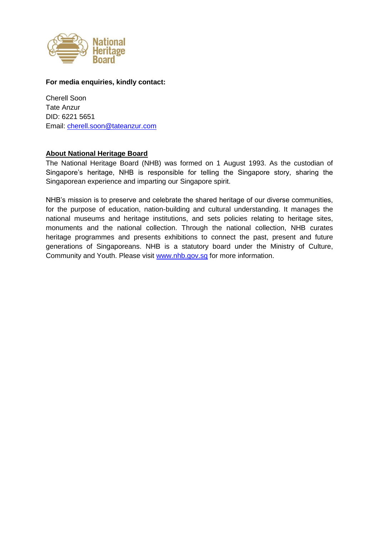

#### **For media enquiries, kindly contact:**

Cherell Soon Tate Anzur DID: 6221 5651 Email: [cherell.soon@tateanzur.com](mailto:cherell.soon@tateanzur.com)

#### **About National Heritage Board**

The National Heritage Board (NHB) was formed on 1 August 1993. As the custodian of Singapore's heritage, NHB is responsible for telling the Singapore story, sharing the Singaporean experience and imparting our Singapore spirit.

NHB's mission is to preserve and celebrate the shared heritage of our diverse communities, for the purpose of education, nation-building and cultural understanding. It manages the national museums and heritage institutions, and sets policies relating to heritage sites, monuments and the national collection. Through the national collection, NHB curates heritage programmes and presents exhibitions to connect the past, present and future generations of Singaporeans. NHB is a statutory board under the Ministry of Culture, Community and Youth. Please visit [www.nhb.gov.sg](http://www.nhb.gov.sg/) for more information.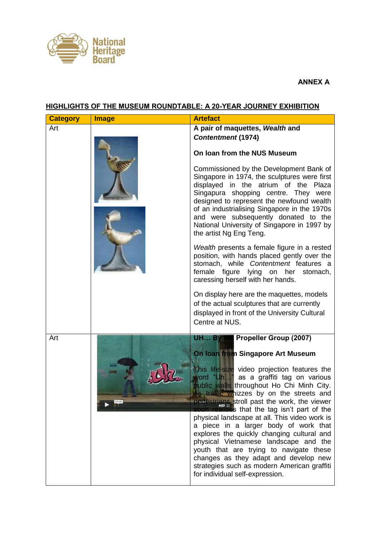

### **ANNEX A**

### **HIGHLIGHTS OF THE MUSEUM ROUNDTABLE: A 20-YEAR JOURNEY EXHIBITION**

| <b>Category</b> | <b>Image</b> | <b>Artefact</b>                                                                                                                                                                                                                                                                                                                                                                                                                                                                                                                                                                                                                                                              |
|-----------------|--------------|------------------------------------------------------------------------------------------------------------------------------------------------------------------------------------------------------------------------------------------------------------------------------------------------------------------------------------------------------------------------------------------------------------------------------------------------------------------------------------------------------------------------------------------------------------------------------------------------------------------------------------------------------------------------------|
| Art             |              | A pair of maquettes, Wealth and                                                                                                                                                                                                                                                                                                                                                                                                                                                                                                                                                                                                                                              |
|                 |              | <b>Contentment (1974)</b>                                                                                                                                                                                                                                                                                                                                                                                                                                                                                                                                                                                                                                                    |
|                 |              | On Ioan from the NUS Museum                                                                                                                                                                                                                                                                                                                                                                                                                                                                                                                                                                                                                                                  |
|                 |              | Commissioned by the Development Bank of<br>Singapore in 1974, the sculptures were first<br>displayed in the atrium of the Plaza<br>Singapura shopping centre. They were<br>designed to represent the newfound wealth<br>of an industrialising Singapore in the 1970s<br>and were subsequently donated to the<br>National University of Singapore in 1997 by<br>the artist Ng Eng Teng.                                                                                                                                                                                                                                                                                       |
|                 |              | Wealth presents a female figure in a rested<br>position, with hands placed gently over the<br>stomach, while Contentment features a<br>female figure lying on her stomach,<br>caressing herself with her hands.                                                                                                                                                                                                                                                                                                                                                                                                                                                              |
|                 |              | On display here are the maquettes, models<br>of the actual sculptures that are currently<br>displayed in front of the University Cultural<br>Centre at NUS.                                                                                                                                                                                                                                                                                                                                                                                                                                                                                                                  |
| Art             |              | <b>Propeller Group (2007)</b><br>UH By                                                                                                                                                                                                                                                                                                                                                                                                                                                                                                                                                                                                                                       |
|                 | 07,05        | On Ioan from Singapore Art Museum<br>This life-size video projection features the<br>vord "Uh" as a graffiti tag on various<br>public walls throughout Ho Chi Minh City.<br>Is traffic whizzes by on the streets and<br>pedestrians stroll past the work, the viewer<br><b>allises</b> that the tag isn't part of the<br>physical landscape at all. This video work is<br>a piece in a larger body of work that<br>explores the quickly changing cultural and<br>physical Vietnamese landscape and the<br>youth that are trying to navigate these<br>changes as they adapt and develop new<br>strategies such as modern American graffiti<br>for individual self-expression. |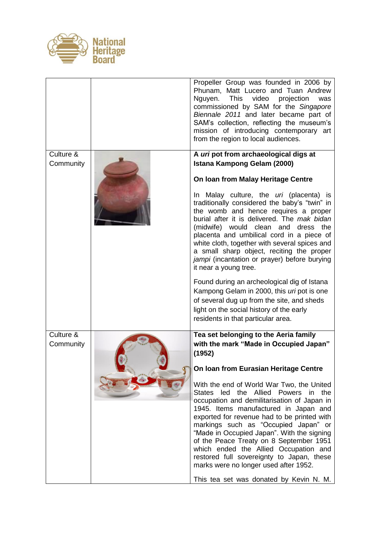

|                        | Propeller Group was founded in 2006 by<br>Phunam, Matt Lucero and Tuan Andrew<br>This<br>video<br>projection<br>Nguyen.<br>was<br>commissioned by SAM for the Singapore<br>Biennale 2011 and later became part of<br>SAM's collection, reflecting the museum's<br>mission of introducing contemporary art<br>from the region to local audiences.                                                                                                                                                                                   |
|------------------------|------------------------------------------------------------------------------------------------------------------------------------------------------------------------------------------------------------------------------------------------------------------------------------------------------------------------------------------------------------------------------------------------------------------------------------------------------------------------------------------------------------------------------------|
| Culture &<br>Community | A uri pot from archaeological digs at<br>Istana Kampong Gelam (2000)                                                                                                                                                                                                                                                                                                                                                                                                                                                               |
|                        | On Ioan from Malay Heritage Centre                                                                                                                                                                                                                                                                                                                                                                                                                                                                                                 |
|                        | In Malay culture, the uri (placenta) is<br>traditionally considered the baby's "twin" in<br>the womb and hence requires a proper<br>burial after it is delivered. The mak bidan<br>(midwife) would clean and dress the<br>placenta and umbilical cord in a piece of<br>white cloth, together with several spices and<br>a small sharp object, reciting the proper<br>jampi (incantation or prayer) before burying<br>it near a young tree.                                                                                         |
|                        | Found during an archeological dig of Istana<br>Kampong Gelam in 2000, this uri pot is one<br>of several dug up from the site, and sheds<br>light on the social history of the early<br>residents in that particular area.                                                                                                                                                                                                                                                                                                          |
| Culture &<br>Community | Tea set belonging to the Aeria family<br>with the mark "Made in Occupied Japan"<br>(1952)                                                                                                                                                                                                                                                                                                                                                                                                                                          |
|                        | On Ioan from Eurasian Heritage Centre                                                                                                                                                                                                                                                                                                                                                                                                                                                                                              |
|                        | With the end of World War Two, the United<br>States led the Allied Powers in the<br>occupation and demilitarisation of Japan in<br>1945. Items manufactured in Japan and<br>exported for revenue had to be printed with<br>markings such as "Occupied Japan" or<br>"Made in Occupied Japan". With the signing<br>of the Peace Treaty on 8 September 1951<br>which ended the Allied Occupation and<br>restored full sovereignty to Japan, these<br>marks were no longer used after 1952.<br>This tea set was donated by Kevin N. M. |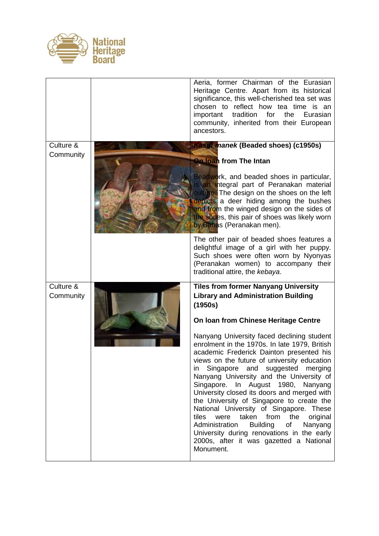

|                        | Aeria, former Chairman of the Eurasian<br>Heritage Centre. Apart from its historical<br>significance, this well-cherished tea set was<br>chosen to reflect how tea time is an<br>tradition<br>important<br>for<br>the<br>Eurasian<br>community, inherited from their European<br>ancestors.                                                                                                                                                                                                                                                                                                                                                                                                              |
|------------------------|----------------------------------------------------------------------------------------------------------------------------------------------------------------------------------------------------------------------------------------------------------------------------------------------------------------------------------------------------------------------------------------------------------------------------------------------------------------------------------------------------------------------------------------------------------------------------------------------------------------------------------------------------------------------------------------------------------|
| Culture &              | <b>Kasut manek (Beaded shoes) (c1950s)</b>                                                                                                                                                                                                                                                                                                                                                                                                                                                                                                                                                                                                                                                               |
| Community              | <b>On loan</b> from The Intan<br>Beadwork, and beaded shoes in particular,<br>is an integral part of Peranakan material<br>culture. The design on the shoes on the left<br>depicts a deer hiding among the bushes<br>and from the winged design on the sides of<br>the shops, this pair of shoes was likely worn<br>by Babas (Peranakan men).                                                                                                                                                                                                                                                                                                                                                            |
|                        | The other pair of beaded shoes features a<br>delightful image of a girl with her puppy.<br>Such shoes were often worn by Nyonyas<br>(Peranakan women) to accompany their<br>traditional attire, the kebaya.                                                                                                                                                                                                                                                                                                                                                                                                                                                                                              |
| Culture &<br>Community | <b>Tiles from former Nanyang University</b><br><b>Library and Administration Building</b><br>(1950s)                                                                                                                                                                                                                                                                                                                                                                                                                                                                                                                                                                                                     |
|                        | On Ioan from Chinese Heritage Centre<br>Nanyang University faced declining student<br>enrolment in the 1970s. In late 1979, British<br>academic Frederick Dainton presented his<br>views on the future of university education<br>in Singapore and suggested merging<br>Nanyang University and the University of<br>Singapore. In August 1980, Nanyang<br>University closed its doors and merged with<br>the University of Singapore to create the<br>National University of Singapore. These<br>taken from the<br>original<br>tiles<br>were<br>Administration<br><b>Building</b><br>of<br>Nanyang<br>University during renovations in the early<br>2000s, after it was gazetted a National<br>Monument. |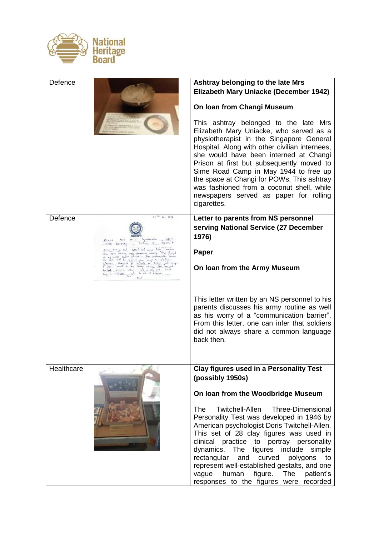

| Defence    |                                                                                                                                                                                                                                                                                                                                                                                                                                                                                                                                                                                    | Ashtray belonging to the late Mrs                                                                                                                                                                                                                                                                                                                                                                                                                                        |
|------------|------------------------------------------------------------------------------------------------------------------------------------------------------------------------------------------------------------------------------------------------------------------------------------------------------------------------------------------------------------------------------------------------------------------------------------------------------------------------------------------------------------------------------------------------------------------------------------|--------------------------------------------------------------------------------------------------------------------------------------------------------------------------------------------------------------------------------------------------------------------------------------------------------------------------------------------------------------------------------------------------------------------------------------------------------------------------|
|            |                                                                                                                                                                                                                                                                                                                                                                                                                                                                                                                                                                                    | Elizabeth Mary Uniacke (December 1942)                                                                                                                                                                                                                                                                                                                                                                                                                                   |
|            |                                                                                                                                                                                                                                                                                                                                                                                                                                                                                                                                                                                    | On Ioan from Changi Museum                                                                                                                                                                                                                                                                                                                                                                                                                                               |
|            |                                                                                                                                                                                                                                                                                                                                                                                                                                                                                                                                                                                    | This ashtray belonged to the late Mrs<br>Elizabeth Mary Uniacke, who served as a<br>physiotherapist in the Singapore General<br>Hospital. Along with other civilian internees,<br>she would have been interned at Changi<br>Prison at first but subsequently moved to<br>Sime Road Camp in May 1944 to free up<br>the space at Changi for POWs. This ashtray<br>was fashioned from a coconut shell, while<br>newspapers served as paper for rolling<br>cigarettes.       |
| Defence    | $17^{14}$ pr. 1971                                                                                                                                                                                                                                                                                                                                                                                                                                                                                                                                                                 | Letter to parents from NS personnel<br>serving National Service (27 December<br>1976)                                                                                                                                                                                                                                                                                                                                                                                    |
|            | <b>Low Frital</b><br>when I and Softed and seven holy tempore.<br>Sent loving paper process working that formula                                                                                                                                                                                                                                                                                                                                                                                                                                                                   | Paper                                                                                                                                                                                                                                                                                                                                                                                                                                                                    |
|            | - with stated chiefs - Hen such water.<br>J. Will be school for comp to Propag.<br>In Training -<br>$\begin{array}{ll} \displaystyle \frac{1}{2} \begin{bmatrix} \mathbf{1}_{\mathbf{1}} & \mathbf{1}_{\mathbf{1}} & \mathbf{1}_{\mathbf{1}} \\ \mathbf{1}_{\mathbf{1}} & \mathbf{1}_{\mathbf{1}} & \mathbf{1}_{\mathbf{1}} \\ \mathbf{1}_{\mathbf{1}} & \mathbf{1}_{\mathbf{1}} & \mathbf{1}_{\mathbf{1}} \\ \mathbf{1}_{\mathbf{1}} & \mathbf{1}_{\mathbf{1}} & \mathbf{1}_{\mathbf{1}} \\ \mathbf{1}_{\mathbf{1}} & \mathbf{1}_{\mathbf{1}} & \mathbf{1}_{\mathbf{1}} \\ \math$ | On Ioan from the Army Museum                                                                                                                                                                                                                                                                                                                                                                                                                                             |
|            |                                                                                                                                                                                                                                                                                                                                                                                                                                                                                                                                                                                    | This letter written by an NS personnel to his<br>parents discusses his army routine as well<br>as his worry of a "communication barrier".<br>From this letter, one can infer that soldiers<br>did not always share a common language<br>back then.                                                                                                                                                                                                                       |
| Healthcare |                                                                                                                                                                                                                                                                                                                                                                                                                                                                                                                                                                                    | <b>Clay figures used in a Personality Test</b><br>(possibly 1950s)                                                                                                                                                                                                                                                                                                                                                                                                       |
|            |                                                                                                                                                                                                                                                                                                                                                                                                                                                                                                                                                                                    | On loan from the Woodbridge Museum                                                                                                                                                                                                                                                                                                                                                                                                                                       |
|            |                                                                                                                                                                                                                                                                                                                                                                                                                                                                                                                                                                                    | Twitchell-Allen<br><b>Three-Dimensional</b><br>The<br>Personality Test was developed in 1946 by<br>American psychologist Doris Twitchell-Allen.<br>This set of 28 clay figures was used in<br>clinical practice to portray personality<br>dynamics. The figures<br>include simple<br>rectangular<br>and curved<br>polygons to<br>represent well-established gestalts, and one<br>figure.<br>vague<br>human<br>The<br>patient's<br>responses to the figures were recorded |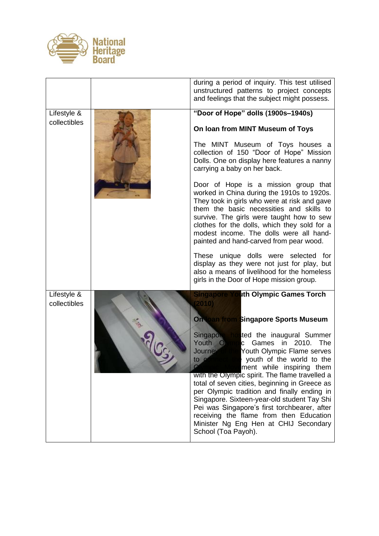

|                             | during a period of inquiry. This test utilised<br>unstructured patterns to project concepts<br>and feelings that the subject might possess.                                                                                                                                                                                                                                                                                                                                                                                                                                                     |
|-----------------------------|-------------------------------------------------------------------------------------------------------------------------------------------------------------------------------------------------------------------------------------------------------------------------------------------------------------------------------------------------------------------------------------------------------------------------------------------------------------------------------------------------------------------------------------------------------------------------------------------------|
| Lifestyle &                 | "Door of Hope" dolls (1900s-1940s)                                                                                                                                                                                                                                                                                                                                                                                                                                                                                                                                                              |
| collectibles                | On loan from MINT Museum of Toys                                                                                                                                                                                                                                                                                                                                                                                                                                                                                                                                                                |
|                             | The MINT Museum of Toys houses a<br>collection of 150 "Door of Hope" Mission<br>Dolls. One on display here features a nanny<br>carrying a baby on her back.                                                                                                                                                                                                                                                                                                                                                                                                                                     |
|                             | Door of Hope is a mission group that<br>worked in China during the 1910s to 1920s.<br>They took in girls who were at risk and gave<br>them the basic necessities and skills to<br>survive. The girls were taught how to sew<br>clothes for the dolls, which they sold for a<br>modest income. The dolls were all hand-<br>painted and hand-carved from pear wood.                                                                                                                                                                                                                               |
|                             | These unique dolls were selected for<br>display as they were not just for play, but<br>also a means of livelihood for the homeless<br>girls in the Door of Hope mission group.                                                                                                                                                                                                                                                                                                                                                                                                                  |
| Lifestyle &<br>collectibles | <b>Singapore Youth Olympic Games Torch</b><br>(2010)<br><b>On toan from Singapore Sports Museum</b>                                                                                                                                                                                                                                                                                                                                                                                                                                                                                             |
|                             | Singapole hosted the inaugural Summer<br>Youth O<br>$\mathsf{c}$<br>Games in 2010.<br><b>The</b><br>Journey of the<br>Youth Olympic Flame serves<br>to $\alpha$<br>mined the youth of the world to the<br>ment while inspiring them<br>with the Olympic spirit. The flame travelled a<br>total of seven cities, beginning in Greece as<br>per Olympic tradition and finally ending in<br>Singapore. Sixteen-year-old student Tay Shi<br>Pei was Singapore's first torchbearer, after<br>receiving the flame from then Education<br>Minister Ng Eng Hen at CHIJ Secondary<br>School (Toa Payoh). |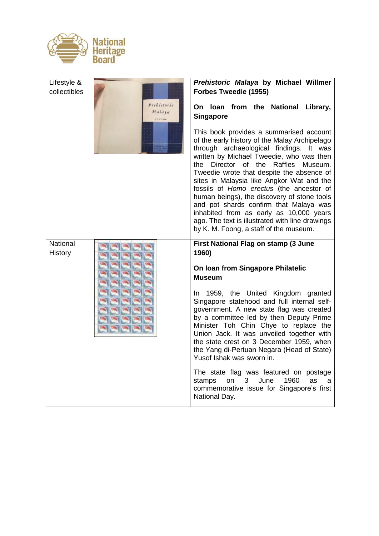

| Lifestyle &<br>collectibles |                       | Prehistoric Malaya by Michael Willmer<br>Forbes Tweedie (1955)                                                                                                                                                                                                                                                                                                                                                                                                                                                                                                                                      |
|-----------------------------|-----------------------|-----------------------------------------------------------------------------------------------------------------------------------------------------------------------------------------------------------------------------------------------------------------------------------------------------------------------------------------------------------------------------------------------------------------------------------------------------------------------------------------------------------------------------------------------------------------------------------------------------|
|                             | Prebistoric<br>Malaya | On loan from the National Library,<br><b>Singapore</b>                                                                                                                                                                                                                                                                                                                                                                                                                                                                                                                                              |
|                             |                       | This book provides a summarised account<br>of the early history of the Malay Archipelago<br>through archaeological findings. It was<br>written by Michael Tweedie, who was then<br>Director of the Raffles<br>the<br>Museum.<br>Tweedie wrote that despite the absence of<br>sites in Malaysia like Angkor Wat and the<br>fossils of Homo erectus (the ancestor of<br>human beings), the discovery of stone tools<br>and pot shards confirm that Malaya was<br>inhabited from as early as 10,000 years<br>ago. The text is illustrated with line drawings<br>by K. M. Foong, a staff of the museum. |
| National<br><b>History</b>  |                       | First National Flag on stamp (3 June<br>1960)                                                                                                                                                                                                                                                                                                                                                                                                                                                                                                                                                       |
|                             |                       | On Ioan from Singapore Philatelic<br><b>Museum</b>                                                                                                                                                                                                                                                                                                                                                                                                                                                                                                                                                  |
|                             |                       | In 1959, the United Kingdom granted<br>Singapore statehood and full internal self-<br>government. A new state flag was created<br>by a committee led by then Deputy Prime<br>Minister Toh Chin Chye to replace the<br>Union Jack. It was unveiled together with<br>the state crest on 3 December 1959, when<br>the Yang di-Pertuan Negara (Head of State)<br>Yusof Ishak was sworn in.                                                                                                                                                                                                              |
|                             |                       | The state flag was featured on postage<br>June<br>1960<br>stamps<br>on<br>3<br>as<br>a<br>commemorative issue for Singapore's first<br>National Day.                                                                                                                                                                                                                                                                                                                                                                                                                                                |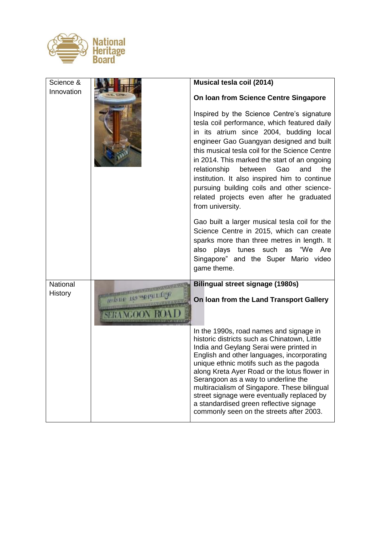

| Science &      |                                        | Musical tesla coil (2014)                                                                                                                                                                                                                                                                                                                                                                                                                                                                                                                                                                                                                                                                                                                                              |
|----------------|----------------------------------------|------------------------------------------------------------------------------------------------------------------------------------------------------------------------------------------------------------------------------------------------------------------------------------------------------------------------------------------------------------------------------------------------------------------------------------------------------------------------------------------------------------------------------------------------------------------------------------------------------------------------------------------------------------------------------------------------------------------------------------------------------------------------|
| Innovation     |                                        | On Ioan from Science Centre Singapore<br>Inspired by the Science Centre's signature<br>tesla coil performance, which featured daily<br>in its atrium since 2004, budding local<br>engineer Gao Guangyan designed and built<br>this musical tesla coil for the Science Centre<br>in 2014. This marked the start of an ongoing<br>relationship<br>between<br>Gao<br>and<br>the<br>institution. It also inspired him to continue<br>pursuing building coils and other science-<br>related projects even after he graduated<br>from university.<br>Gao built a larger musical tesla coil for the<br>Science Centre in 2015, which can create<br>sparks more than three metres in length. It<br>plays tunes such as "We Are<br>also<br>Singapore" and the Super Mario video |
|                |                                        | game theme.                                                                                                                                                                                                                                                                                                                                                                                                                                                                                                                                                                                                                                                                                                                                                            |
| National       |                                        | <b>Bilingual street signage (1980s)</b>                                                                                                                                                                                                                                                                                                                                                                                                                                                                                                                                                                                                                                                                                                                                |
| <b>History</b> | <b>SHE 100 4019</b><br><b>SERANGOC</b> | On loan from the Land Transport Gallery                                                                                                                                                                                                                                                                                                                                                                                                                                                                                                                                                                                                                                                                                                                                |
|                |                                        | In the 1990s, road names and signage in<br>historic districts such as Chinatown, Little<br>India and Geylang Serai were printed in<br>English and other languages, incorporating<br>unique ethnic motifs such as the pagoda<br>along Kreta Ayer Road or the lotus flower in<br>Serangoon as a way to underline the<br>multiracialism of Singapore. These bilingual<br>street signage were eventually replaced by<br>a standardised green reflective signage<br>commonly seen on the streets after 2003.                                                                                                                                                                                                                                                                |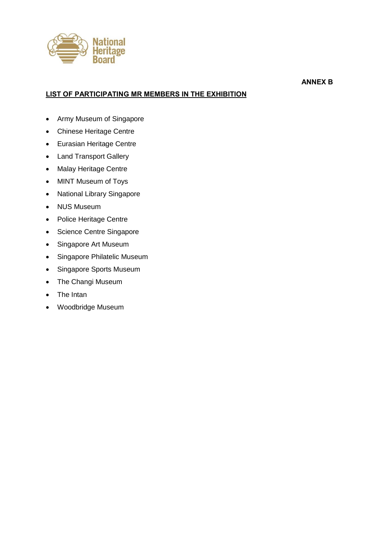

### **LIST OF PARTICIPATING MR MEMBERS IN THE EXHIBITION**

**ANNEX B**

- Army Museum of Singapore
- Chinese Heritage Centre
- Eurasian Heritage Centre
- Land Transport Gallery
- Malay Heritage Centre
- MINT Museum of Toys
- National Library Singapore
- NUS Museum
- Police Heritage Centre
- Science Centre Singapore
- Singapore Art Museum
- Singapore Philatelic Museum
- Singapore Sports Museum
- The Changi Museum
- The Intan
- Woodbridge Museum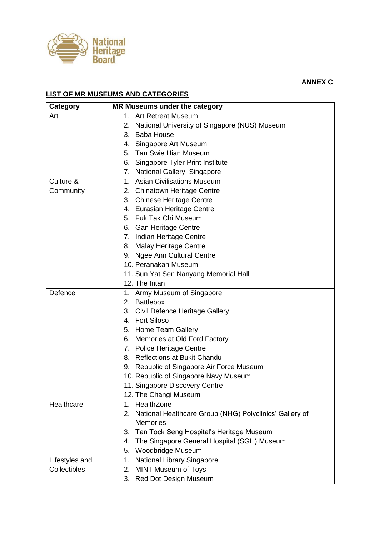

## **ANNEX C**

### **LIST OF MR MUSEUMS AND CATEGORIES**

| Category       | MR Museums under the category                                 |
|----------------|---------------------------------------------------------------|
| Art            | Art Retreat Museum<br>1.                                      |
|                | National University of Singapore (NUS) Museum<br>2.           |
|                | 3. Baba House                                                 |
|                | Singapore Art Museum<br>4.                                    |
|                | 5. Tan Swie Hian Museum                                       |
|                | Singapore Tyler Print Institute<br>6.                         |
|                | 7. National Gallery, Singapore                                |
| Culture &      | <b>Asian Civilisations Museum</b><br>$1_{-}$                  |
| Community      | 2. Chinatown Heritage Centre                                  |
|                | 3. Chinese Heritage Centre                                    |
|                | 4. Eurasian Heritage Centre                                   |
|                | 5. Fuk Tak Chi Museum                                         |
|                | 6. Gan Heritage Centre                                        |
|                | 7. Indian Heritage Centre                                     |
|                | 8. Malay Heritage Centre                                      |
|                | 9. Ngee Ann Cultural Centre                                   |
|                | 10. Peranakan Museum                                          |
|                | 11. Sun Yat Sen Nanyang Memorial Hall                         |
|                | 12. The Intan                                                 |
| Defence        | Army Museum of Singapore<br>1.                                |
|                | 2. Battlebox                                                  |
|                | Civil Defence Heritage Gallery<br>3.                          |
|                | 4. Fort Siloso                                                |
|                | 5. Home Team Gallery                                          |
|                | 6. Memories at Old Ford Factory                               |
|                | 7. Police Heritage Centre                                     |
|                | 8. Reflections at Bukit Chandu                                |
|                | 9. Republic of Singapore Air Force Museum                     |
|                | 10. Republic of Singapore Navy Museum                         |
|                | 11. Singapore Discovery Centre                                |
|                | 12. The Changi Museum                                         |
| Healthcare     | HealthZone<br>1.                                              |
|                | National Healthcare Group (NHG) Polyclinics' Gallery of<br>2. |
|                | <b>Memories</b>                                               |
|                | Tan Tock Seng Hospital's Heritage Museum<br>3.                |
|                | The Singapore General Hospital (SGH) Museum<br>4.             |
|                | Woodbridge Museum<br>5.                                       |
| Lifestyles and | <b>National Library Singapore</b><br>1.                       |
| Collectibles   | <b>MINT Museum of Toys</b><br>2.                              |
|                | 3. Red Dot Design Museum                                      |